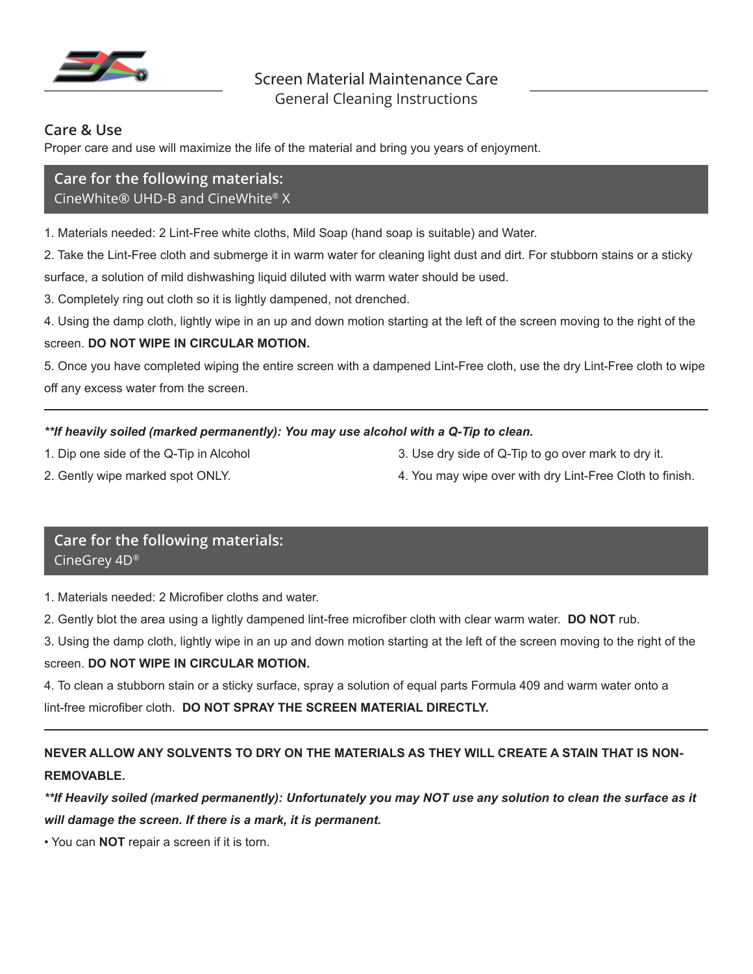

## **Care & Use**

Proper care and use will maximize the life of the material and bring you years of enjoyment.

# **Care for the following materials:** CineWhite® UHD-B and CineWhite® X

1. Materials needed: 2 Lint-Free white cloths, Mild Soap (hand soap is suitable) and Water.

2. Take the Lint-Free cloth and submerge it in warm water for cleaning light dust and dirt. For stubborn stains or a sticky surface, a solution of mild dishwashing liquid diluted with warm water should be used.

3. Completely ring out cloth so it is lightly dampened, not drenched.

4. Using the damp cloth, lightly wipe in an up and down motion starting at the left of the screen moving to the right of the

### screen. **DO NOT WIPE IN CIRCULAR MOTION.**

5. Once you have completed wiping the entire screen with a dampened Lint-Free cloth, use the dry Lint-Free cloth to wipe off any excess water from the screen.

### *\*\*If heavily soiled (marked permanently): You may use alcohol with a Q-Tip to clean.*

- 
- 1. Dip one side of the Q-Tip in Alcohol 3. Use dry side of Q-Tip to go over mark to dry it.
- 
- 2. Gently wipe marked spot ONLY. And the spot of the state of the spatial and the spot of the spot ONLY.

# **Care for the following materials:** CineGrey 4D®

1. Materials needed: 2 Microfiber cloths and water.

- 2. Gently blot the area using a lightly dampened lint-free microfiber cloth with clear warm water. **DO NOT** rub.
- 3. Using the damp cloth, lightly wipe in an up and down motion starting at the left of the screen moving to the right of the screen. **DO NOT WIPE IN CIRCULAR MOTION.**

4. To clean a stubborn stain or a sticky surface, spray a solution of equal parts Formula 409 and warm water onto a lint-free microfiber cloth. **DO NOT SPRAY THE SCREEN MATERIAL DIRECTLY.**

# **NEVER ALLOW ANY SOLVENTS TO DRY ON THE MATERIALS AS THEY WILL CREATE A STAIN THAT IS NON-REMOVABLE.**

*\*\*If Heavily soiled (marked permanently): Unfortunately you may NOT use any solution to clean the surface as it will damage the screen. If there is a mark, it is permanent.*

• You can **NOT** repair a screen if it is torn.